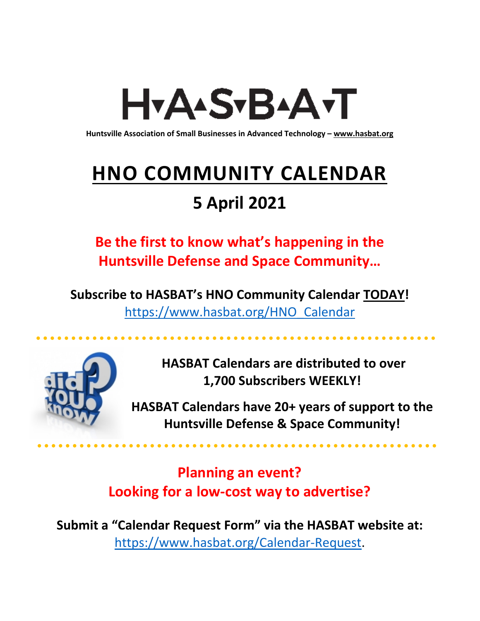# H<sub>Y</sub>AASTBAATT

**Huntsville Association of Small Businesses in Advanced Technology – [www.hasbat.org](http://www.hasbat.org/)**

# **HNO COMMUNITY CALENDAR**

### **5 April 2021**

**Be the first to know what's happening in the Huntsville Defense and Space Community…** 

**Subscribe to HASBAT's HNO Community Calendar TODAY!**  [https://www.hasbat.org/HNO\\_Calendar](https://www.hasbat.org/HNO_Calendar)



**HASBAT Calendars are distributed to over 1,700 Subscribers WEEKLY!**

**HASBAT Calendars have 20+ years of support to the Huntsville Defense & Space Community!** 

**Planning an event? Looking for a low-cost way to advertise?**

**Submit a "Calendar Request Form" via the HASBAT website at:**  [https://www.hasbat.org/Calendar-Request.](https://www.hasbat.org/Calendar-Request)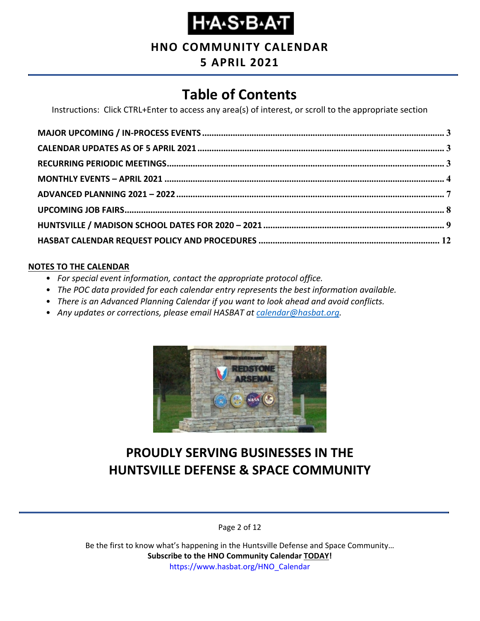

**HNO COMMUNITY CALENDAR**

### **5 APRIL 2021**

### **Table of Contents**

Instructions: Click CTRL+Enter to access any area(s) of interest, or scroll to the appropriate section

#### **NOTES TO THE CALENDAR**

- *For special event information, contact the appropriate protocol office.*
- *The POC data provided for each calendar entry represents the best information available.*
- *There is an Advanced Planning Calendar if you want to look ahead and avoid conflicts.*
- *Any updates or corrections, please email HASBAT at [calendar@hasbat.org.](mailto:calendar@hasbat.org)*



### **PROUDLY SERVING BUSINESSES IN THE HUNTSVILLE DEFENSE & SPACE COMMUNITY**

Page 2 of 12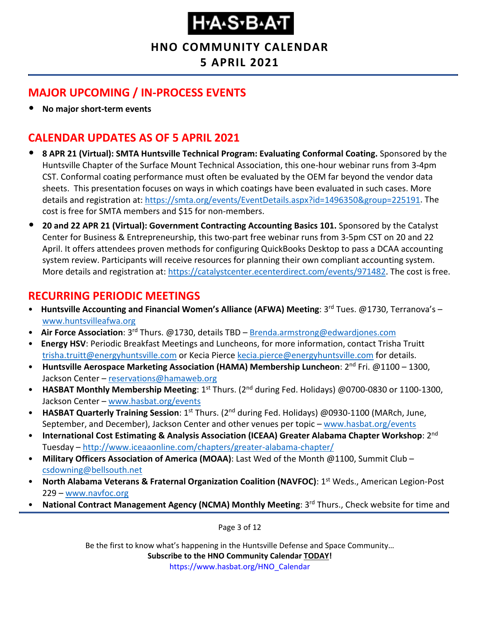#### **HNO COMMUNITY CALENDAR**

#### **5 APRIL 2021**

#### <span id="page-2-0"></span>**MAJOR UPCOMING / IN-PROCESS EVENTS**

• **No major short-term events**

#### <span id="page-2-1"></span>**CALENDAR UPDATES AS OF 5 APRIL 2021**

- **8 APR 21 (Virtual): SMTA Huntsville Technical Program: Evaluating Conformal Coating.** Sponsored by the Huntsville Chapter of the Surface Mount Technical Association, this one-hour webinar runs from 3-4pm CST. Conformal coating performance must often be evaluated by the OEM far beyond the vendor data sheets. This presentation focuses on ways in which coatings have been evaluated in such cases. More details and registration at: [https://smta.org/events/EventDetails.aspx?id=1496350&group=225191.](https://smta.org/events/EventDetails.aspx?id=1496350&group=225191) The cost is free for SMTA members and \$15 for non-members.
- **20 and 22 APR 21 (Virtual): Government Contracting Accounting Basics 101.** Sponsored by the Catalyst Center for Business & Entrepreneurship, this two-part free webinar runs from 3-5pm CST on 20 and 22 April. It offers attendees proven methods for configuring QuickBooks Desktop to pass a DCAA accounting system review. Participants will receive resources for planning their own compliant accounting system. More details and registration at: [https://catalystcenter.ecenterdirect.com/events/971482.](https://catalystcenter.ecenterdirect.com/events/971482) The cost is free.

#### <span id="page-2-2"></span>**RECURRING PERIODIC MEETINGS**

- Huntsville Accounting and Financial Women's Alliance (AFWA) Meeting: 3<sup>rd</sup> Tues. @1730, Terranova's [www.huntsvilleafwa.org](http://www.huntsvilleafwa.org/)
- **Air Force Association**: 3rd Thurs. @1730, details TBD [Brenda.armstrong@edwardjones.com](mailto:Brenda.armstrong@edwardjones.com)
- **Energy HSV**: Periodic Breakfast Meetings and Luncheons, for more information, contact Trisha Truitt [trisha.truitt@energyhuntsville.com](mailto:trisha.truitt@energyhuntsville.com) or Kecia Pierce [kecia.pierce@energyhuntsville.com](mailto:kecia.pierce@energyhuntsville.com) for details.
- Huntsville Aerospace Marketing Association (HAMA) Membership Luncheon: 2<sup>nd</sup> Fri. @1100 1300, Jackson Center – [reservations@hamaweb.org](mailto:reservations@hamaweb.org)
- **HASBAT Monthly Membership Meeting**: 1<sup>st</sup> Thurs. (2<sup>nd</sup> during Fed. Holidays) @0700-0830 or 1100-1300, Jackson Center – [www.hasbat.org/events](http://www.hasbat.org/events)
- **HASBAT Quarterly Training Session**: 1st Thurs. (2nd during Fed. Holidays) @0930-1100 (MARch, June, September, and December), Jackson Center and other venues per topic – [www.hasbat.org/events](http://www.hasbat.org/events)
- **International Cost Estimating & Analysis Association (ICEAA) Greater Alabama Chapter Workshop**: 2nd Tuesday – <http://www.iceaaonline.com/chapters/greater-alabama-chapter/>
- **Military Officers Association of America (MOAA)**: Last Wed of the Month @1100, Summit Club [csdowning@bellsouth.net](mailto:csdowning@bellsouth.net)
- **North Alabama Veterans & Fraternal Organization Coalition (NAVFOC): 1<sup>st</sup> Weds., American Legion-Post** 229 – [www.navfoc.org](http://www.navfoc.org/)
- National Contract Management Agency (NCMA) Monthly Meeting: 3<sup>rd</sup> Thurs., Check website for time and

Page 3 of 12

Be the first to know what's happening in the Huntsville Defense and Space Community… **Subscribe to the HNO Community Calendar TODAY!** 

https://www.hasbat.org/HNO\_Calendar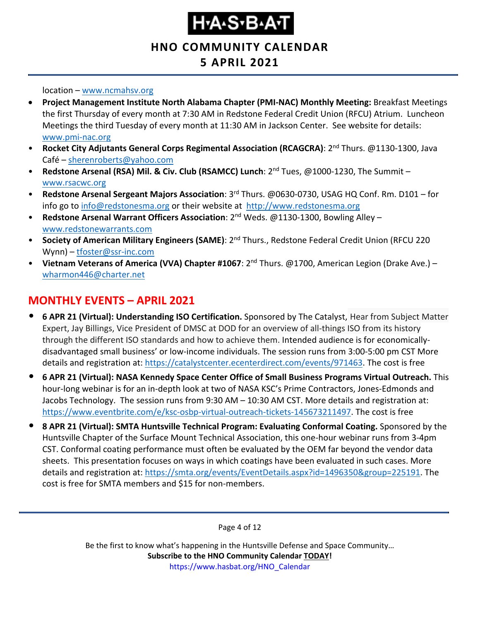**HNO COMMUNITY CALENDAR**

### **5 APRIL 2021**

location – [www.ncmahsv.org](http://www.ncmahsv.org/)

- **Project Management Institute North Alabama Chapter (PMI-NAC) Monthly Meeting:** Breakfast Meetings the first Thursday of every month at 7:30 AM in Redstone Federal Credit Union (RFCU) Atrium. Luncheon Meetings the third Tuesday of every month at 11:30 AM in Jackson Center. See website for details: [www.pmi-nac.org](http://www.pmi-nac.org/)
- **Rocket City Adjutants General Corps Regimental Association (RCAGCRA)**: 2nd Thurs. @1130-1300, Java Café – [sherenroberts@yahoo.com](mailto:sherenroberts@yahoo.com)
- **Redstone Arsenal (RSA) Mil. & Civ. Club (RSAMCC) Lunch**: 2nd Tues, @1000-1230, The Summit [www.rsacwc.org](http://www.rsacwc.org/)
- **Redstone Arsenal Sergeant Majors Association**: 3rd Thurs. @0630-0730, USAG HQ Conf. Rm. D101 for info go to [info@redstonesma.org](mailto:info@redstonesma.org) or their website at [http://www.redstonesma.org](http://www.redstonesma.org/)
- **Redstone Arsenal Warrant Officers Association**: 2nd Weds. @1130-1300, Bowling Alley [www.redstonewarrants.com](http://www.redstonewarrants.com/)
- **Society of American Military Engineers (SAME)**: 2nd Thurs., Redstone Federal Credit Union (RFCU 220 Wynn) – [tfoster@ssr-inc.com](mailto:tfoster@ssr-inc.com)
- **Vietnam Veterans of America (VVA) Chapter #1067**: 2nd Thurs. @1700, American Legion (Drake Ave.) [wharmon446@charter.net](mailto:wharmon446@charter.net)

#### <span id="page-3-0"></span>**MONTHLY EVENTS – APRIL 2021**

- **6 APR 21 (Virtual): Understanding ISO Certification.** Sponsored by The Catalyst, Hear from Subject Matter Expert, Jay Billings, Vice President of DMSC at DOD for an overview of all-things ISO from its history through the different ISO standards and how to achieve them. Intended audience is for economicallydisadvantaged small business' or low-income individuals. The session runs from 3:00-5:00 pm CST More details and registration at: [https://catalystcenter.ecenterdirect.com/events/971463.](https://catalystcenter.ecenterdirect.com/events/971463) The cost is free
- **6 APR 21 (Virtual): NASA Kennedy Space Center Office of Small Business Programs Virtual Outreach.** This hour-long webinar is for an in-depth look at two of NASA KSC's Prime Contractors, Jones-Edmonds and Jacobs Technology. The session runs from 9:30 AM – 10:30 AM CST. More details and registration at: [https://www.eventbrite.com/e/ksc-osbp-virtual-outreach-tickets-145673211497.](https://www.eventbrite.com/e/ksc-osbp-virtual-outreach-tickets-145673211497) The cost is free
- **8 APR 21 (Virtual): SMTA Huntsville Technical Program: Evaluating Conformal Coating.** Sponsored by the Huntsville Chapter of the Surface Mount Technical Association, this one-hour webinar runs from 3-4pm CST. Conformal coating performance must often be evaluated by the OEM far beyond the vendor data sheets. This presentation focuses on ways in which coatings have been evaluated in such cases. More details and registration at: [https://smta.org/events/EventDetails.aspx?id=1496350&group=225191.](https://smta.org/events/EventDetails.aspx?id=1496350&group=225191) The cost is free for SMTA members and \$15 for non-members.

Page 4 of 12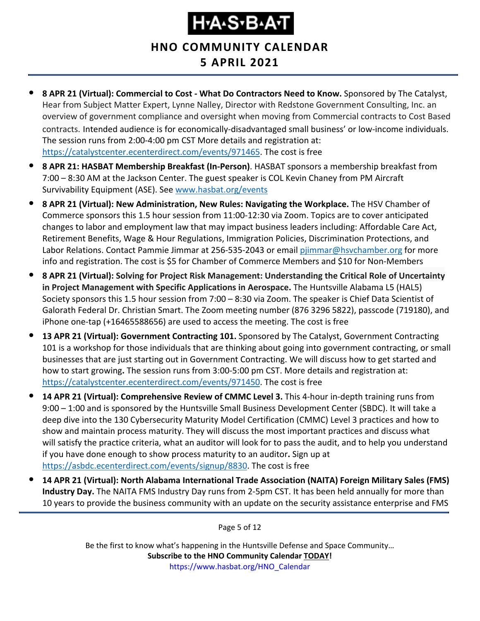**HNO COMMUNITY CALENDAR**

- **5 APRIL 2021**
- **8 APR 21 (Virtual): Commercial to Cost - What Do Contractors Need to Know.** Sponsored by The Catalyst, Hear from Subject Matter Expert, Lynne Nalley, Director with Redstone Government Consulting, Inc. an overview of government compliance and oversight when moving from Commercial contracts to Cost Based contracts. Intended audience is for economically-disadvantaged small business' or low-income individuals. The session runs from 2:00-4:00 pm CST More details and registration at: [https://catalystcenter.ecenterdirect.com/events/971465.](https://catalystcenter.ecenterdirect.com/events/971465) The cost is free
- **8 APR 21: HASBAT Membership Breakfast (In-Person)**. HASBAT sponsors a membership breakfast from 7:00 – 8:30 AM at the Jackson Center. The guest speaker is COL Kevin Chaney from PM Aircraft Survivability Equipment (ASE). See [www.hasbat.org/events](http://www.hasbat.org/events)
- **8 APR 21 (Virtual): New Administration, New Rules: Navigating the Workplace.** The HSV Chamber of Commerce sponsors this 1.5 hour session from 11:00-12:30 via Zoom. Topics are to cover anticipated changes to labor and employment law that may impact business leaders including: Affordable Care Act, Retirement Benefits, Wage & Hour Regulations, Immigration Policies, Discrimination Protections, and Labor Relations. Contact Pammie Jimmar at 256-535-2043 or email [pjimmar@hsvchamber.org](mailto:pjimmar@hsvchamber.org) for more info and registration. The cost is \$5 for Chamber of Commerce Members and \$10 for Non-Members
- **8 APR 21 (Virtual): Solving for Project Risk Management: Understanding the Critical Role of Uncertainty in Project Management with Specific Applications in Aerospace.** The Huntsville Alabama L5 (HAL5) Society sponsors this 1.5 hour session from 7:00 – 8:30 via Zoom. The speaker is Chief Data Scientist of Galorath Federal Dr. Christian Smart. The Zoom meeting number (876 3296 5822), passcode (719180), and iPhone one-tap (+16465588656) are used to access the meeting. The cost is free
- **13 APR 21 (Virtual): Government Contracting 101.** Sponsored by The Catalyst, Government Contracting 101 is a workshop for those individuals that are thinking about going into government contracting, or small businesses that are just starting out in Government Contracting. We will discuss how to get started and how to start growing**.** The session runs from 3:00-5:00 pm CST. More details and registration at: [https://catalystcenter.ecenterdirect.com/events/971450.](https://catalystcenter.ecenterdirect.com/events/971450) The cost is free
- **14 APR 21 (Virtual): Comprehensive Review of CMMC Level 3.** This 4-hour in-depth training runs from 9:00 – 1:00 and is sponsored by the Huntsville Small Business Development Center (SBDC). It will take a deep dive into the 130 Cybersecurity Maturity Model Certification (CMMC) Level 3 practices and how to show and maintain process maturity. They will discuss the most important practices and discuss what will satisfy the practice criteria, what an auditor will look for to pass the audit, and to help you understand if you have done enough to show process maturity to an auditor**.** Sign up at [https://asbdc.ecenterdirect.com/events/signup/8830.](https://asbdc.ecenterdirect.com/events/signup/8830) The cost is free
- **14 APR 21 (Virtual): North Alabama International Trade Association (NAITA) Foreign Military Sales (FMS) Industry Day.** The NAITA FMS Industry Day runs from 2-5pm CST. It has been held annually for more than 10 years to provide the business community with an update on the security assistance enterprise and FMS

Page 5 of 12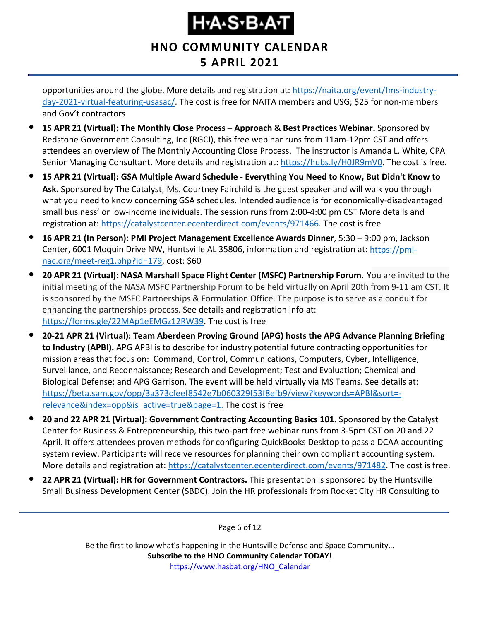#### **HNO COMMUNITY CALENDAR 5 APRIL 2021**

opportunities around the globe. More details and registration at: [https://naita.org/event/fms-industry](https://naita.org/event/fms-industry-day-2021-virtual-featuring-usasac/)[day-2021-virtual-featuring-usasac/.](https://naita.org/event/fms-industry-day-2021-virtual-featuring-usasac/) The cost is free for NAITA members and USG; \$25 for non-members and Gov't contractors

- **15 APR 21 (Virtual): The Monthly Close Process – Approach & Best Practices Webinar.** Sponsored by Redstone Government Consulting, Inc (RGCI), this free webinar runs from 11am-12pm CST and offers attendees an overview of The Monthly Accounting Close Process. The instructor is Amanda L. White, CPA Senior Managing Consultant. More details and registration at: [https://hubs.ly/H0JR9mV0.](https://hubs.ly/H0JR9mV0) The cost is free.
- **15 APR 21 (Virtual): GSA Multiple Award Schedule - Everything You Need to Know, But Didn't Know to Ask.** Sponsored by The Catalyst, Ms. Courtney Fairchild is the guest speaker and will walk you through what you need to know concerning GSA schedules. Intended audience is for economically-disadvantaged small business' or low-income individuals. The session runs from 2:00-4:00 pm CST More details and registration at: [https://catalystcenter.ecenterdirect.com/events/971466.](https://catalystcenter.ecenterdirect.com/events/971466) The cost is free
- **16 APR 21 (In Person): PMI Project Management Excellence Awards Dinner**, 5:30 9:00 pm, Jackson Center, 6001 Moquin Drive NW, Huntsville AL 35806, information and registration at: [https://pmi](https://pmi-nac.org/meet-reg1.php?id=179)[nac.org/meet-reg1.php?id=179,](https://pmi-nac.org/meet-reg1.php?id=179) cost: \$60
- **20 APR 21 (Virtual): NASA Marshall Space Flight Center (MSFC) Partnership Forum.** You are invited to the initial meeting of the NASA MSFC Partnership Forum to be held virtually on April 20th from 9-11 am CST. It is sponsored by the MSFC Partnerships & Formulation Office. The purpose is to serve as a conduit for enhancing the partnerships process. See details and registration info at: [https://forms.gle/22MAp1eEMGz12RW39.](https://forms.gle/22MAp1eEMGz12RW39) The cost is free
- **20-21 APR 21 (Virtual): Team Aberdeen Proving Ground (APG) hosts the APG Advance Planning Briefing to Industry (APBI).** APG APBI is to describe for industry potential future contracting opportunities for mission areas that focus on: Command, Control, Communications, Computers, Cyber, Intelligence, Surveillance, and Reconnaissance; Research and Development; Test and Evaluation; Chemical and Biological Defense; and APG Garrison. The event will be held virtually via MS Teams. See details at: [https://beta.sam.gov/opp/3a373cfeef8542e7b060329f53f8efb9/view?keywords=APBI&sort=](https://beta.sam.gov/opp/3a373cfeef8542e7b060329f53f8efb9/view?keywords=APBI&sort=-relevance&index=opp&is_active=true&page=1) [relevance&index=opp&is\\_active=true&page=1.](https://beta.sam.gov/opp/3a373cfeef8542e7b060329f53f8efb9/view?keywords=APBI&sort=-relevance&index=opp&is_active=true&page=1) The cost is free
- **20 and 22 APR 21 (Virtual): Government Contracting Accounting Basics 101.** Sponsored by the Catalyst Center for Business & Entrepreneurship, this two-part free webinar runs from 3-5pm CST on 20 and 22 April. It offers attendees proven methods for configuring QuickBooks Desktop to pass a DCAA accounting system review. Participants will receive resources for planning their own compliant accounting system. More details and registration at: [https://catalystcenter.ecenterdirect.com/events/971482.](https://catalystcenter.ecenterdirect.com/events/971482) The cost is free.
- **22 APR 21 (Virtual): HR for Government Contractors.** This presentation is sponsored by the Huntsville Small Business Development Center (SBDC). Join the HR professionals from Rocket City HR Consulting to

Page 6 of 12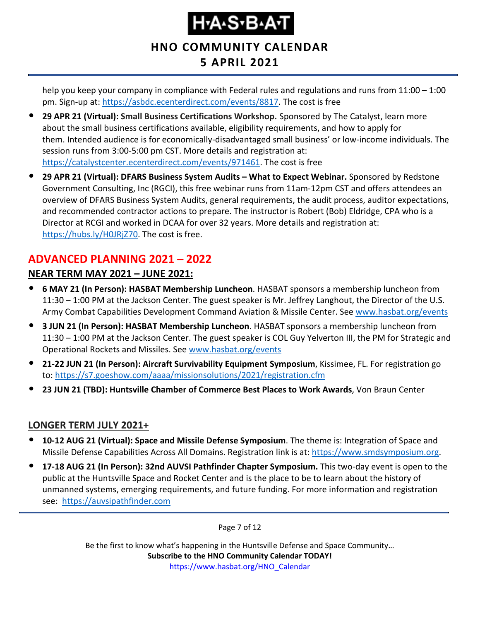#### **HNO COMMUNITY CALENDAR 5 APRIL 2021**

help you keep your company in compliance with Federal rules and regulations and runs from 11:00 – 1:00 pm. Sign-up at: [https://asbdc.ecenterdirect.com/events/8817.](https://asbdc.ecenterdirect.com/events/8817) The cost is free

- **29 APR 21 (Virtual): Small Business Certifications Workshop.** Sponsored by The Catalyst, learn more about the small business certifications available, eligibility requirements, and how to apply for them. Intended audience is for economically-disadvantaged small business' or low-income individuals. The session runs from 3:00-5:00 pm CST. More details and registration at: [https://catalystcenter.ecenterdirect.com/events/971461.](https://catalystcenter.ecenterdirect.com/events/971461) The cost is free
- **29 APR 21 (Virtual): DFARS Business System Audits – What to Expect Webinar.** Sponsored by Redstone Government Consulting, Inc (RGCI), this free webinar runs from 11am-12pm CST and offers attendees an overview of DFARS Business System Audits, general requirements, the audit process, auditor expectations, and recommended contractor actions to prepare. The instructor is Robert (Bob) Eldridge, CPA who is a Director at RCGI and worked in DCAA for over 32 years. More details and registration at: [https://hubs.ly/H0JRjZ70.](https://hubs.ly/H0JRjZ70) The cost is free.

#### <span id="page-6-0"></span>**ADVANCED PLANNING 2021 – 2022 NEAR TERM MAY 2021 – JUNE 2021:**

- **6 MAY 21 (In Person): HASBAT Membership Luncheon**. HASBAT sponsors a membership luncheon from 11:30 – 1:00 PM at the Jackson Center. The guest speaker is Mr. Jeffrey Langhout, the Director of the U.S. Army Combat Capabilities Development Command Aviation & Missile Center. See [www.hasbat.org/events](http://www.hasbat.org/events)
- **3 JUN 21 (In Person): HASBAT Membership Luncheon**. HASBAT sponsors a membership luncheon from 11:30 – 1:00 PM at the Jackson Center. The guest speaker is COL Guy Yelverton III, the PM for Strategic and Operational Rockets and Missiles. See [www.hasbat.org/events](http://www.hasbat.org/events)
- **21-22 JUN 21 (In Person): Aircraft Survivability Equipment Symposium**, Kissimee, FL. For registration go to:<https://s7.goeshow.com/aaaa/missionsolutions/2021/registration.cfm>
- **23 JUN 21 (TBD): Huntsville Chamber of Commerce Best Places to Work Awards**, Von Braun Center

#### **LONGER TERM JULY 2021+**

- **10-12 AUG 21 (Virtual): Space and Missile Defense Symposium**. The theme is: Integration of Space and Missile Defense Capabilities Across All Domains. Registration link is at: [https://www.smdsymposium.org.](https://www.smdsymposium.org/)
- **17-18 AUG 21 (In Person): 32nd AUVSI Pathfinder Chapter Symposium.** This two-day event is open to the public at the Huntsville Space and Rocket Center and is the place to be to learn about the history of unmanned systems, emerging requirements, and future funding. For more information and registration see: [https://auvsipathfinder.com](https://auvsipathfinder.com/)

Page 7 of 12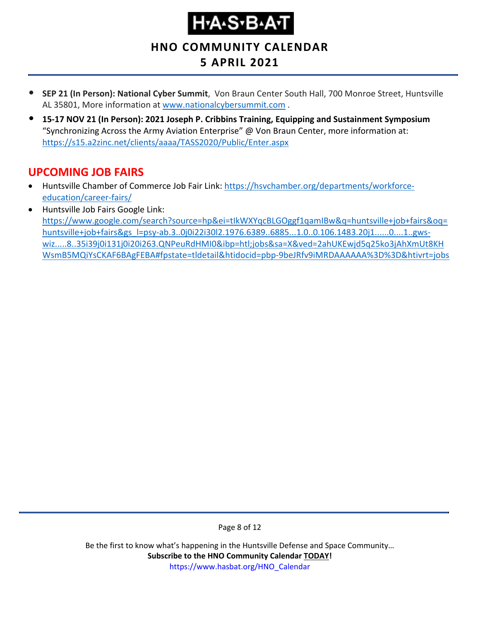# **Н-А-Ѕ-В-А-Т**

**HNO COMMUNITY CALENDAR**

### **5 APRIL 2021**

- **SEP 21 (In Person): National Cyber Summit**, Von Braun Center South Hall, 700 Monroe Street, Huntsville AL 35801, More information at [www.nationalcybersummit.com](http://www.nationalcybersummit.com/) .
- **15-17 NOV 21 (In Person): 2021 Joseph P. Cribbins Training, Equipping and Sustainment Symposium** "Synchronizing Across the Army Aviation Enterprise" @ Von Braun Center, more information at: <https://s15.a2zinc.net/clients/aaaa/TASS2020/Public/Enter.aspx>

#### <span id="page-7-0"></span>**UPCOMING JOB FAIRS**

- Huntsville Chamber of Commerce Job Fair Link: [https://hsvchamber.org/departments/workforce](https://hsvchamber.org/departments/workforce-education/career-fairs/)[education/career-fairs/](https://hsvchamber.org/departments/workforce-education/career-fairs/)
- Huntsville Job Fairs Google Link: [https://www.google.com/search?source=hp&ei=tIkWXYqcBLGOggf1qamIBw&q=huntsville+job+fairs&oq=](https://www.google.com/search?source=hp&ei=tIkWXYqcBLGOggf1qamIBw&q=huntsville+job+fairs&oq=huntsville+job+fairs&gs_l=psy-ab.3..0j0i22i30l2.1976.6389..6885...1.0..0.106.1483.20j1......0....1..gws-wiz.....8..35i39j0i131j0i20i263.QNPeuRdHMI0&ibp=htl;jobs&sa=X&ved=2ahUKEwjd5q25ko3jAhXmUt8KHWsmB5MQiYsCKAF6BAgFEBA#fpstate=tldetail&htidocid=pbp-9beJRfv9iMRDAAAAAA%3D%3D&htivrt=jobs) [huntsville+job+fairs&gs\\_l=psy-ab.3..0j0i22i30l2.1976.6389..6885...1.0..0.106.1483.20j1......0....1..gws](https://www.google.com/search?source=hp&ei=tIkWXYqcBLGOggf1qamIBw&q=huntsville+job+fairs&oq=huntsville+job+fairs&gs_l=psy-ab.3..0j0i22i30l2.1976.6389..6885...1.0..0.106.1483.20j1......0....1..gws-wiz.....8..35i39j0i131j0i20i263.QNPeuRdHMI0&ibp=htl;jobs&sa=X&ved=2ahUKEwjd5q25ko3jAhXmUt8KHWsmB5MQiYsCKAF6BAgFEBA#fpstate=tldetail&htidocid=pbp-9beJRfv9iMRDAAAAAA%3D%3D&htivrt=jobs)[wiz.....8..35i39j0i131j0i20i263.QNPeuRdHMI0&ibp=htl;jobs&sa=X&ved=2ahUKEwjd5q25ko3jAhXmUt8KH](https://www.google.com/search?source=hp&ei=tIkWXYqcBLGOggf1qamIBw&q=huntsville+job+fairs&oq=huntsville+job+fairs&gs_l=psy-ab.3..0j0i22i30l2.1976.6389..6885...1.0..0.106.1483.20j1......0....1..gws-wiz.....8..35i39j0i131j0i20i263.QNPeuRdHMI0&ibp=htl;jobs&sa=X&ved=2ahUKEwjd5q25ko3jAhXmUt8KHWsmB5MQiYsCKAF6BAgFEBA#fpstate=tldetail&htidocid=pbp-9beJRfv9iMRDAAAAAA%3D%3D&htivrt=jobs) [WsmB5MQiYsCKAF6BAgFEBA#fpstate=tldetail&htidocid=pbp-9beJRfv9iMRDAAAAAA%3D%3D&htivrt=jobs](https://www.google.com/search?source=hp&ei=tIkWXYqcBLGOggf1qamIBw&q=huntsville+job+fairs&oq=huntsville+job+fairs&gs_l=psy-ab.3..0j0i22i30l2.1976.6389..6885...1.0..0.106.1483.20j1......0....1..gws-wiz.....8..35i39j0i131j0i20i263.QNPeuRdHMI0&ibp=htl;jobs&sa=X&ved=2ahUKEwjd5q25ko3jAhXmUt8KHWsmB5MQiYsCKAF6BAgFEBA#fpstate=tldetail&htidocid=pbp-9beJRfv9iMRDAAAAAA%3D%3D&htivrt=jobs)

Page 8 of 12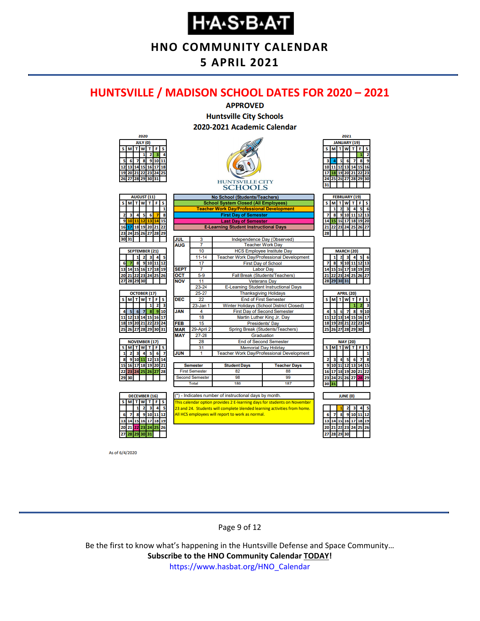**HNO COMMUNITY CALENDAR**

#### **5 APRIL 2021**

#### <span id="page-8-0"></span>**HUNTSVILLE / MADISON SCHOOL DATES FOR 2020 – 2021**



As of 6/4/2020

#### Page 9 of 12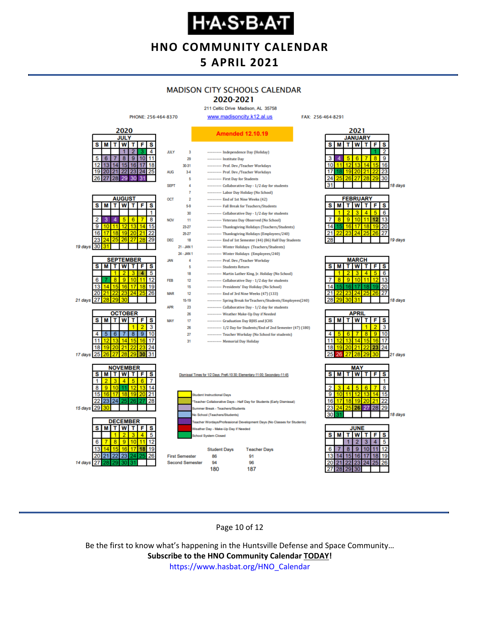**HNO COMMUNITY CALENDAR**

#### **5 APRIL 2021**

#### **MADISON CITY SCHOOLS CALENDAR**

2020-2021 211 Celtic Drive Madison, AL 35758

FAX: 256-464-8291



#### Page 10 of 12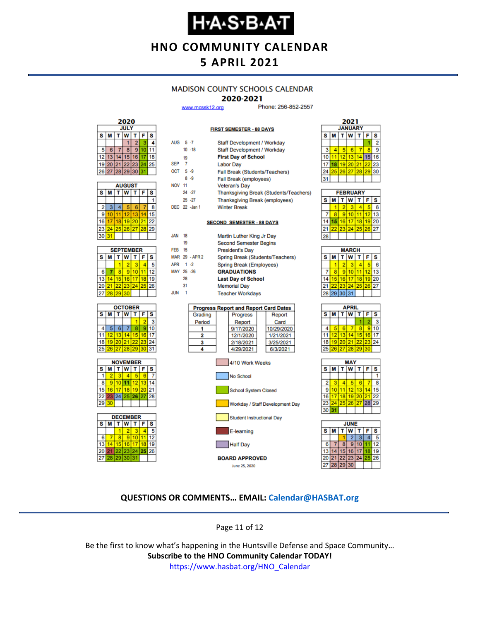### **Н•А•S•В•А•Т**

**HNO COMMUNITY CALENDAR**

#### **5 APRIL 2021**

#### **MADISON COUNTY SCHOOLS CALENDAR**

#### 2020-2021

**FIRST SEMESTER - 88 DAYS** 

www.mcssk12.org

Phone: 256-852-2557



| <b>AUGUST</b> |                             |    |          |    |    |    |  |  |
|---------------|-----------------------------|----|----------|----|----|----|--|--|
| s             | W<br>т<br>F<br>s<br>τI<br>м |    |          |    |    |    |  |  |
|               |                             |    |          |    |    |    |  |  |
| 2             | 3                           | 4  | 5        | 6  |    | 8  |  |  |
| 9             | 10                          | 11 | 12       | 13 |    | 15 |  |  |
| 16            | 17                          | 18 | 19 20    |    | 21 | 22 |  |  |
| 23            | 24                          |    | 25 26 27 |    | 28 | 29 |  |  |
| 30            | 31                          |    |          |    |    |    |  |  |

| <b>SEPTEMBER</b> |                       |                 |          |  |    |    |  |  |
|------------------|-----------------------|-----------------|----------|--|----|----|--|--|
| s                | W<br>F<br>S<br>т<br>М |                 |          |  |    |    |  |  |
|                  |                       |                 | 2        |  |    |    |  |  |
| 6                |                       | 8               | ٥        |  |    | 12 |  |  |
| 13               |                       | 15 <sup>1</sup> | 16       |  | 18 | g  |  |  |
| 20               | 21                    |                 | 22 23 24 |  | 25 | 26 |  |  |
| 27               | 28                    | 29 <sub>1</sub> | 30       |  |    |    |  |  |







| AUG 5-7          |    |                | Staff Development / Workday                  |  |  |  |  |  |
|------------------|----|----------------|----------------------------------------------|--|--|--|--|--|
|                  |    | $10 - 18$      | Staff Development / Workday                  |  |  |  |  |  |
|                  | 19 |                | <b>First Day of School</b>                   |  |  |  |  |  |
| SEP <sub>7</sub> |    |                | <b>Labor Day</b>                             |  |  |  |  |  |
| OCT 5-9          |    |                | Fall Break (Students/Teachers)               |  |  |  |  |  |
|                  |    | $8 - 9$        | Fall Break (employees)                       |  |  |  |  |  |
| <b>NOV 11</b>    |    |                | <b>Veteran's Day</b>                         |  |  |  |  |  |
|                  |    | 24 - 27        | Thanksgiving Break (Students/Teachers)       |  |  |  |  |  |
|                  |    | $25 - 27$      | <b>Thanksgiving Break (employees)</b>        |  |  |  |  |  |
|                  |    | DEC 22 - Jan 1 | <b>Winter Break</b>                          |  |  |  |  |  |
|                  |    |                |                                              |  |  |  |  |  |
|                  |    |                | <b>SECOND SEMESTER - 88 DAYS</b>             |  |  |  |  |  |
|                  |    |                |                                              |  |  |  |  |  |
| JAN              | 18 |                | Martin Luther King Jr Day                    |  |  |  |  |  |
|                  | 19 |                | <b>Second Semester Begins</b>                |  |  |  |  |  |
| <b>FEB</b> 15    |    |                | <b>President's Day</b>                       |  |  |  |  |  |
|                  |    | MAR 29 - APR 2 | Spring Break (Students/Teachers)             |  |  |  |  |  |
| APR 1 -2         |    |                | Spring Break (Employees)                     |  |  |  |  |  |
| MAY 25 -26       |    |                | <b>GRADUATIONS</b>                           |  |  |  |  |  |
|                  | 28 |                | <b>Last Day of School</b>                    |  |  |  |  |  |
|                  | 31 |                | <b>Memorial Day</b>                          |  |  |  |  |  |
| .ILIN            | -1 |                | <b>Teacher Workdays</b>                      |  |  |  |  |  |
|                  |    |                |                                              |  |  |  |  |  |
|                  |    |                | <b>Progress Report and Report Card Dates</b> |  |  |  |  |  |
|                  |    | Grading        | Progress<br>Report                           |  |  |  |  |  |
|                  |    | Period<br>1    | Card<br>Report<br>9/17/2020<br>10/29/2020    |  |  |  |  |  |
|                  |    | 2              | 12/1/2020<br>1/21/2021                       |  |  |  |  |  |
|                  |    | 3              | 2/18/2021<br>3/25/2021                       |  |  |  |  |  |
|                  |    | 4              | 4/29/2021<br>6/3/2021                        |  |  |  |  |  |
|                  |    |                |                                              |  |  |  |  |  |



| <b>FEBRUARY</b> |   |    |                 |    |    |    |  |  |
|-----------------|---|----|-----------------|----|----|----|--|--|
| s               | м |    | w               |    | F  | s  |  |  |
|                 |   |    | з               |    |    | F  |  |  |
|                 |   | g. | 10              |    | 12 | 3  |  |  |
| Δ               |   | 16 | 17 <sup>1</sup> | 18 | 19 | 20 |  |  |
|                 |   | 23 | 24              | 25 | 26 | 27 |  |  |
| 28              |   |    |                 |    |    |    |  |  |

| <b>MARCH</b> |                                 |                 |                 |    |       |    |  |  |
|--------------|---------------------------------|-----------------|-----------------|----|-------|----|--|--|
| S            | <b>T</b> W<br>$T$ $F$<br>S<br>М |                 |                 |    |       |    |  |  |
|              |                                 | 2               |                 |    |       | 6  |  |  |
|              | 8                               | 9               | 10              |    | 12    | 13 |  |  |
| 14           | 15 <sub>1</sub>                 | 16 <sup>1</sup> | 17 <sup>1</sup> | 18 | 19    | 20 |  |  |
| 21           | 22                              |                 | 23 24 25        |    | 26 27 |    |  |  |
|              |                                 |                 | 28 29 30 31     |    |       |    |  |  |
|              |                                 |                 |                 |    |       |    |  |  |

| APRIL           |                |                   |    |              |    |    |  |  |
|-----------------|----------------|-------------------|----|--------------|----|----|--|--|
| S               | М              | т                 | W  | $\mathbf{T}$ | F  | S  |  |  |
|                 |                |                   |    |              |    |    |  |  |
|                 | 6              | 6                 |    | 8            | 9  | 10 |  |  |
| 11              |                | 12 13             | 14 | 15           | 16 | 17 |  |  |
| 18 <sup>1</sup> |                | 19 20 21 22 23 24 |    |              |    |    |  |  |
| 25              | 26 27 28 29 30 |                   |    |              |    |    |  |  |
|                 |                |                   |    |              |    |    |  |  |





#### **QUESTIONS OR COMMENTS… EMAIL: [Calendar@HASBAT.org](mailto:calendar@hasbat.org)**

Page 11 of 12